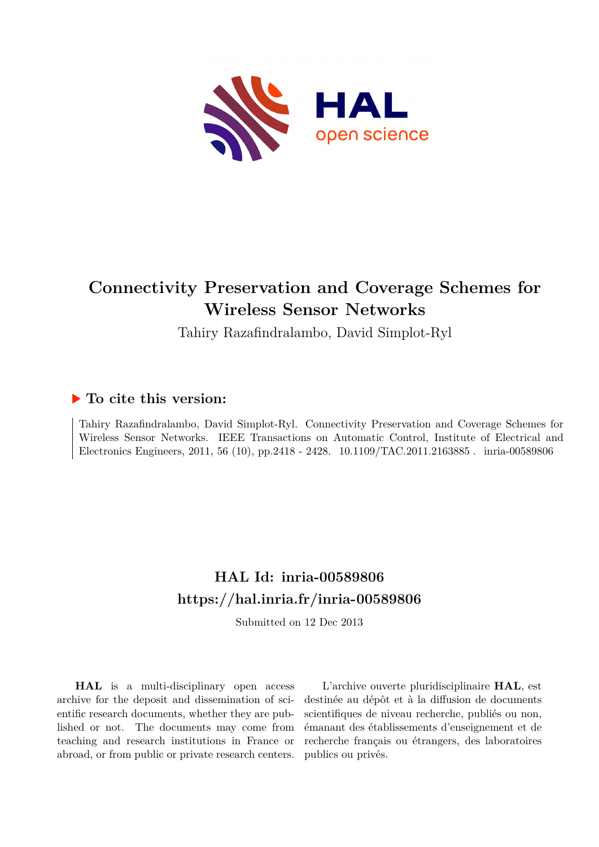

## **Connectivity Preservation and Coverage Schemes for Wireless Sensor Networks**

Tahiry Razafindralambo, David Simplot-Ryl

### **To cite this version:**

Tahiry Razafindralambo, David Simplot-Ryl. Connectivity Preservation and Coverage Schemes for Wireless Sensor Networks. IEEE Transactions on Automatic Control, Institute of Electrical and Electronics Engineers, 2011, 56 (10), pp.2418 - 2428. 10.1109/TAC.2011.2163885. inria-00589806

### **HAL Id: inria-00589806 <https://hal.inria.fr/inria-00589806>**

Submitted on 12 Dec 2013

**HAL** is a multi-disciplinary open access archive for the deposit and dissemination of scientific research documents, whether they are published or not. The documents may come from teaching and research institutions in France or abroad, or from public or private research centers.

L'archive ouverte pluridisciplinaire **HAL**, est destinée au dépôt et à la diffusion de documents scientifiques de niveau recherche, publiés ou non, émanant des établissements d'enseignement et de recherche français ou étrangers, des laboratoires publics ou privés.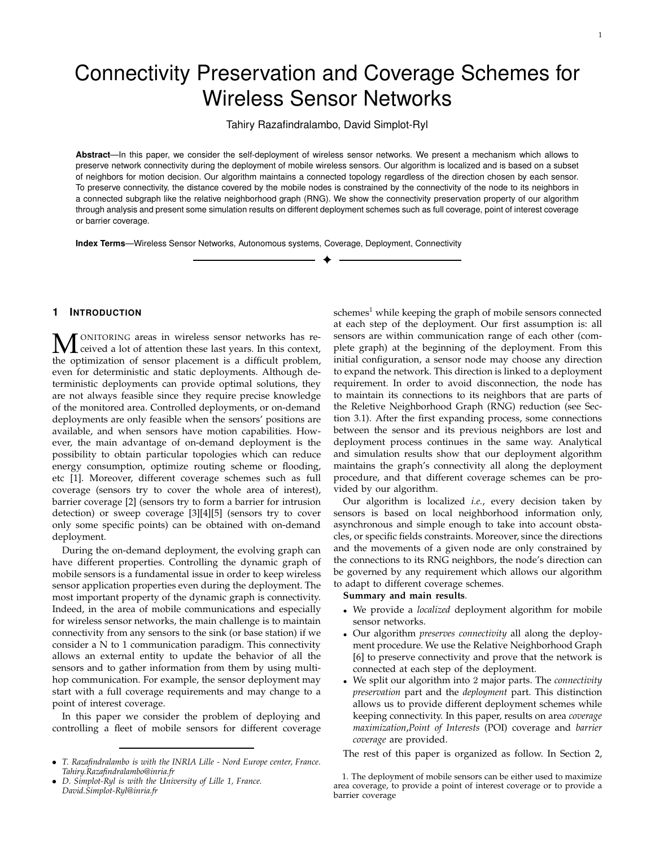# Connectivity Preservation and Coverage Schemes for Wireless Sensor Networks

Tahiry Razafindralambo, David Simplot-Ryl

**Abstract**—In this paper, we consider the self-deployment of wireless sensor networks. We present a mechanism which allows to preserve network connectivity during the deployment of mobile wireless sensors. Our algorithm is localized and is based on a subset of neighbors for motion decision. Our algorithm maintains a connected topology regardless of the direction chosen by each sensor. To preserve connectivity, the distance covered by the mobile nodes is constrained by the connectivity of the node to its neighbors in a connected subgraph like the relative neighborhood graph (RNG). We show the connectivity preservation property of our algorithm through analysis and present some simulation results on different deployment schemes such as full coverage, point of interest coverage or barrier coverage.

✦

**Index Terms**—Wireless Sensor Networks, Autonomous systems, Coverage, Deployment, Connectivity

#### **1 INTRODUCTION**

**MONITORING areas in wireless sensor networks has re-**<br>the optimization of sensor placement is a difficult problem the optimization of sensor placement is a difficult problem, even for deterministic and static deployments. Although deterministic deployments can provide optimal solutions, they are not always feasible since they require precise knowledge of the monitored area. Controlled deployments, or on-demand deployments are only feasible when the sensors' positions are available, and when sensors have motion capabilities. However, the main advantage of on-demand deployment is the possibility to obtain particular topologies which can reduce energy consumption, optimize routing scheme or flooding, etc [1]. Moreover, different coverage schemes such as full coverage (sensors try to cover the whole area of interest), barrier coverage [2] (sensors try to form a barrier for intrusion detection) or sweep coverage [3][4][5] (sensors try to cover only some specific points) can be obtained with on-demand deployment.

During the on-demand deployment, the evolving graph can have different properties. Controlling the dynamic graph of mobile sensors is a fundamental issue in order to keep wireless sensor application properties even during the deployment. The most important property of the dynamic graph is connectivity. Indeed, in the area of mobile communications and especially for wireless sensor networks, the main challenge is to maintain connectivity from any sensors to the sink (or base station) if we consider a N to 1 communication paradigm. This connectivity allows an external entity to update the behavior of all the sensors and to gather information from them by using multihop communication. For example, the sensor deployment may start with a full coverage requirements and may change to a point of interest coverage.

In this paper we consider the problem of deploying and controlling a fleet of mobile sensors for different coverage

schemes<sup>1</sup> while keeping the graph of mobile sensors connected at each step of the deployment. Our first assumption is: all sensors are within communication range of each other (complete graph) at the beginning of the deployment. From this initial configuration, a sensor node may choose any direction to expand the network. This direction is linked to a deployment requirement. In order to avoid disconnection, the node has to maintain its connections to its neighbors that are parts of the Reletive Neighborhood Graph (RNG) reduction (see Section 3.1). After the first expanding process, some connections between the sensor and its previous neighbors are lost and deployment process continues in the same way. Analytical and simulation results show that our deployment algorithm maintains the graph's connectivity all along the deployment procedure, and that different coverage schemes can be provided by our algorithm.

Our algorithm is localized *i.e.*, every decision taken by sensors is based on local neighborhood information only, asynchronous and simple enough to take into account obstacles, or specific fields constraints. Moreover, since the directions and the movements of a given node are only constrained by the connections to its RNG neighbors, the node's direction can be governed by any requirement which allows our algorithm to adapt to different coverage schemes.

#### **Summary and main results**.

- We provide a *localized* deployment algorithm for mobile sensor networks.
- Our algorithm *preserves connectivity* all along the deployment procedure. We use the Relative Neighborhood Graph [6] to preserve connectivity and prove that the network is connected at each step of the deployment.
- We split our algorithm into 2 major parts. The *connectivity preservation* part and the *deployment* part. This distinction allows us to provide different deployment schemes while keeping connectivity. In this paper, results on area *coverage maximization*,*Point of Interests* (POI) coverage and *barrier coverage* are provided.

The rest of this paper is organized as follow. In Section 2,

<sup>•</sup> *T. Razafindralambo is with the INRIA Lille - Nord Europe center, France. Tahiry.Razafindralambo@inria.fr*

<sup>•</sup> *D. Simplot-Ryl is with the University of Lille 1, France. David.Simplot-Ryl@inria.fr*

<sup>1.</sup> The deployment of mobile sensors can be either used to maximize area coverage, to provide a point of interest coverage or to provide a barrier coverage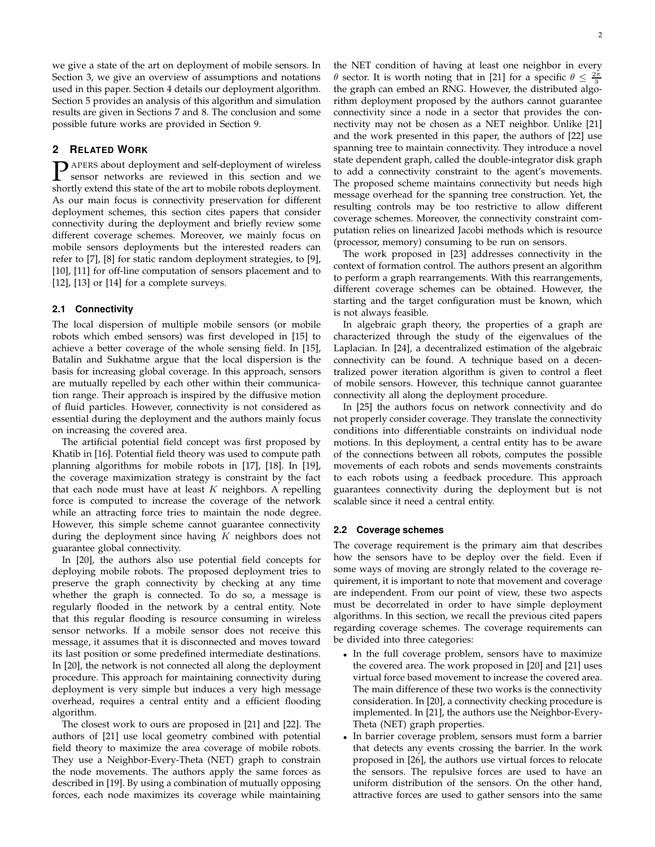we give a state of the art on deployment of mobile sensors. In Section 3, we give an overview of assumptions and notations used in this paper. Section 4 details our deployment algorithm. Section 5 provides an analysis of this algorithm and simulation results are given in Sections 7 and 8. The conclusion and some possible future works are provided in Section 9.

#### **2 RELATED WORK**

**P** APERS about deployment and self-deployment of wireless<br>sensor networks are reviewed in this section and we<br>chartly extend this state of the art to mobile rebots deployment. sensor networks are reviewed in this section and we shortly extend this state of the art to mobile robots deployment. As our main focus is connectivity preservation for different deployment schemes, this section cites papers that consider connectivity during the deployment and briefly review some different coverage schemes. Moreover, we mainly focus on mobile sensors deployments but the interested readers can refer to [7], [8] for static random deployment strategies, to [9], [10], [11] for off-line computation of sensors placement and to [12], [13] or [14] for a complete surveys.

#### **2.1 Connectivity**

The local dispersion of multiple mobile sensors (or mobile robots which embed sensors) was first developed in [15] to achieve a better coverage of the whole sensing field. In [15], Batalin and Sukhatme argue that the local dispersion is the basis for increasing global coverage. In this approach, sensors are mutually repelled by each other within their communication range. Their approach is inspired by the diffusive motion of fluid particles. However, connectivity is not considered as essential during the deployment and the authors mainly focus on increasing the covered area.

The artificial potential field concept was first proposed by Khatib in [16]. Potential field theory was used to compute path planning algorithms for mobile robots in [17], [18]. In [19], the coverage maximization strategy is constraint by the fact that each node must have at least  $K$  neighbors. A repelling force is computed to increase the coverage of the network while an attracting force tries to maintain the node degree. However, this simple scheme cannot guarantee connectivity during the deployment since having  $K$  neighbors does not guarantee global connectivity.

In [20], the authors also use potential field concepts for deploying mobile robots. The proposed deployment tries to preserve the graph connectivity by checking at any time whether the graph is connected. To do so, a message is regularly flooded in the network by a central entity. Note that this regular flooding is resource consuming in wireless sensor networks. If a mobile sensor does not receive this message, it assumes that it is disconnected and moves toward its last position or some predefined intermediate destinations. In [20], the network is not connected all along the deployment procedure. This approach for maintaining connectivity during deployment is very simple but induces a very high message overhead, requires a central entity and a efficient flooding algorithm.

The closest work to ours are proposed in [21] and [22]. The authors of [21] use local geometry combined with potential field theory to maximize the area coverage of mobile robots. They use a Neighbor-Every-Theta (NET) graph to constrain the node movements. The authors apply the same forces as described in [19]. By using a combination of mutually opposing forces, each node maximizes its coverage while maintaining the NET condition of having at least one neighbor in every θ sector. It is worth noting that in [21] for a specific  $θ ≤ \frac{2π}{3}$ the graph can embed an RNG. However, the distributed algorithm deployment proposed by the authors cannot guarantee connectivity since a node in a sector that provides the connectivity may not be chosen as a NET neighbor. Unlike [21] and the work presented in this paper, the authors of [22] use spanning tree to maintain connectivity. They introduce a novel state dependent graph, called the double-integrator disk graph to add a connectivity constraint to the agent's movements. The proposed scheme maintains connectivity but needs high message overhead for the spanning tree construction. Yet, the resulting controls may be too restrictive to allow different coverage schemes. Moreover, the connectivity constraint computation relies on linearized Jacobi methods which is resource (processor, memory) consuming to be run on sensors.

The work proposed in [23] addresses connectivity in the context of formation control. The authors present an algorithm to perform a graph rearrangements. With this rearrangements, different coverage schemes can be obtained. However, the starting and the target configuration must be known, which is not always feasible.

In algebraic graph theory, the properties of a graph are characterized through the study of the eigenvalues of the Laplacian. In [24], a decentralized estimation of the algebraic connectivity can be found. A technique based on a decentralized power iteration algorithm is given to control a fleet of mobile sensors. However, this technique cannot guarantee connectivity all along the deployment procedure.

In [25] the authors focus on network connectivity and do not properly consider coverage. They translate the connectivity conditions into differentiable constraints on individual node motions. In this deployment, a central entity has to be aware of the connections between all robots, computes the possible movements of each robots and sends movements constraints to each robots using a feedback procedure. This approach guarantees connectivity during the deployment but is not scalable since it need a central entity.

#### **2.2 Coverage schemes**

The coverage requirement is the primary aim that describes how the sensors have to be deploy over the field. Even if some ways of moving are strongly related to the coverage requirement, it is important to note that movement and coverage are independent. From our point of view, these two aspects must be decorrelated in order to have simple deployment algorithms. In this section, we recall the previous cited papers regarding coverage schemes. The coverage requirements can be divided into three categories:

- In the full coverage problem, sensors have to maximize the covered area. The work proposed in [20] and [21] uses virtual force based movement to increase the covered area. The main difference of these two works is the connectivity consideration. In [20], a connectivity checking procedure is implemented. In [21], the authors use the Neighbor-Every-Theta (NET) graph properties.
- In barrier coverage problem, sensors must form a barrier that detects any events crossing the barrier. In the work proposed in [26], the authors use virtual forces to relocate the sensors. The repulsive forces are used to have an uniform distribution of the sensors. On the other hand, attractive forces are used to gather sensors into the same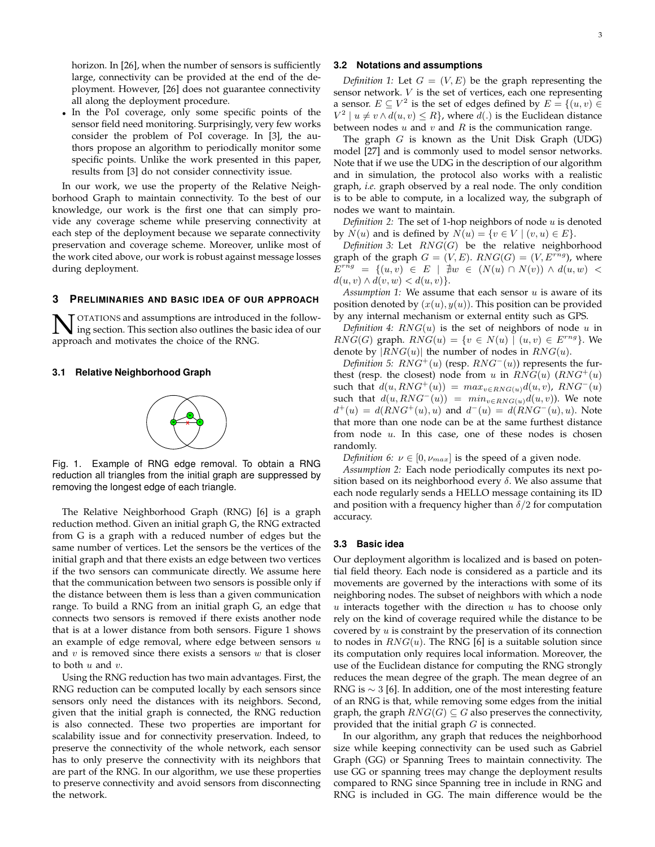horizon. In [26], when the number of sensors is sufficiently large, connectivity can be provided at the end of the deployment. However, [26] does not guarantee connectivity all along the deployment procedure.

• In the PoI coverage, only some specific points of the sensor field need monitoring. Surprisingly, very few works consider the problem of PoI coverage. In [3], the authors propose an algorithm to periodically monitor some specific points. Unlike the work presented in this paper, results from [3] do not consider connectivity issue.

In our work, we use the property of the Relative Neighborhood Graph to maintain connectivity. To the best of our knowledge, our work is the first one that can simply provide any coverage scheme while preserving connectivity at each step of the deployment because we separate connectivity preservation and coverage scheme. Moreover, unlike most of the work cited above, our work is robust against message losses during deployment.

#### **3 PRELIMINARIES AND BASIC IDEA OF OUR APPROACH**

**NOTATIONS and assumptions are introduced** ing section. This section also outlines the bapproach and motivates the choice of the RNG. OTATIONS and assumptions are introduced in the following section. This section also outlines the basic idea of our

#### **3.1 Relative Neighborhood Graph**



Fig. 1. Example of RNG edge removal. To obtain a RNG reduction all triangles from the initial graph are suppressed by removing the longest edge of each triangle.

The Relative Neighborhood Graph (RNG) [6] is a graph reduction method. Given an initial graph G, the RNG extracted from G is a graph with a reduced number of edges but the same number of vertices. Let the sensors be the vertices of the initial graph and that there exists an edge between two vertices if the two sensors can communicate directly. We assume here that the communication between two sensors is possible only if the distance between them is less than a given communication range. To build a RNG from an initial graph G, an edge that connects two sensors is removed if there exists another node that is at a lower distance from both sensors. Figure 1 shows an example of edge removal, where edge between sensors  $u$ and  $v$  is removed since there exists a sensors  $w$  that is closer to both  $u$  and  $v$ .

Using the RNG reduction has two main advantages. First, the RNG reduction can be computed locally by each sensors since sensors only need the distances with its neighbors. Second, given that the initial graph is connected, the RNG reduction is also connected. These two properties are important for scalability issue and for connectivity preservation. Indeed, to preserve the connectivity of the whole network, each sensor has to only preserve the connectivity with its neighbors that are part of the RNG. In our algorithm, we use these properties to preserve connectivity and avoid sensors from disconnecting the network.

#### **3.2 Notations and assumptions**

*Definition 1:* Let  $G = (V, E)$  be the graph representing the sensor network. V is the set of vertices, each one representing a sensor.  $E \subseteq V^2$  is the set of edges defined by  $E = \{(u, v) \in$  $V^2 \mid u \neq v \wedge d(u, v) \leq R$ , where  $d(.)$  is the Euclidean distance between nodes  $u$  and  $v$  and  $R$  is the communication range.

The graph  $G$  is known as the Unit Disk Graph (UDG) model [27] and is commonly used to model sensor networks. Note that if we use the UDG in the description of our algorithm and in simulation, the protocol also works with a realistic graph, *i.e.* graph observed by a real node. The only condition is to be able to compute, in a localized way, the subgraph of nodes we want to maintain.

*Definition 2:* The set of 1-hop neighbors of node u is denoted by  $N(u)$  and is defined by  $N(u) = \{v \in V \mid (v, u) \in E\}.$ 

*Definition 3:* Let  $RNG(G)$  be the relative neighborhood graph of the graph  $G = (V, E)$ .  $RNG(G) = (V, E^{rng})$ , where  $E^{rng} = \{(u,v) \in E \mid \nexists w \in (N(u) \cap N(v)) \land d(u,w)$  $d(u, v) \wedge d(v, w) < d(u, v)$ .

*Assumption 1:* We assume that each sensor u is aware of its position denoted by  $(x(u), y(u))$ . This position can be provided by any internal mechanism or external entity such as GPS.

*Definition 4:*  $RNG(u)$  is the set of neighbors of node u in  $RNG(G)$  graph.  $RNG(u) = \{v \in N(u) \mid (u, v) \in E^{rng}\}.$  We denote by  $|RNG(u)|$  the number of nodes in  $RNG(u)$ .

*Definition 5:*  $RNG^+(u)$  (resp.  $RNG^-(u)$ ) represents the furthest (resp. the closest) node from u in  $RNG(u)$  ( $RNG^+(u)$ ) such that  $d(u, RNG^+(u)) = max_{v \in RNG(u)} d(u, v)$ , RNG<sup>-</sup>(u) such that  $d(u, RNG^{-}(u)) = min_{v \in RNG(u)}d(u, v)$ . We note  $d^+(u) = d(RNG^+(u), u)$  and  $d^-(u) = d(RNG^-(u), u)$ . Note that more than one node can be at the same furthest distance from node u. In this case, one of these nodes is chosen randomly.

*Definition 6:*  $\nu \in [0, \nu_{max}]$  is the speed of a given node.

*Assumption 2:* Each node periodically computes its next position based on its neighborhood every  $\delta$ . We also assume that each node regularly sends a HELLO message containing its ID and position with a frequency higher than  $\delta/2$  for computation accuracy.

#### **3.3 Basic idea**

Our deployment algorithm is localized and is based on potential field theory. Each node is considered as a particle and its movements are governed by the interactions with some of its neighboring nodes. The subset of neighbors with which a node  $u$  interacts together with the direction  $u$  has to choose only rely on the kind of coverage required while the distance to be covered by  $u$  is constraint by the preservation of its connection to nodes in  $RNG(u)$ . The RNG [6] is a suitable solution since its computation only requires local information. Moreover, the use of the Euclidean distance for computing the RNG strongly reduces the mean degree of the graph. The mean degree of an RNG is  $\sim$  3 [6]. In addition, one of the most interesting feature of an RNG is that, while removing some edges from the initial graph, the graph  $RNG(G) \subseteq G$  also preserves the connectivity, provided that the initial graph  $G$  is connected.

In our algorithm, any graph that reduces the neighborhood size while keeping connectivity can be used such as Gabriel Graph (GG) or Spanning Trees to maintain connectivity. The use GG or spanning trees may change the deployment results compared to RNG since Spanning tree in include in RNG and RNG is included in GG. The main difference would be the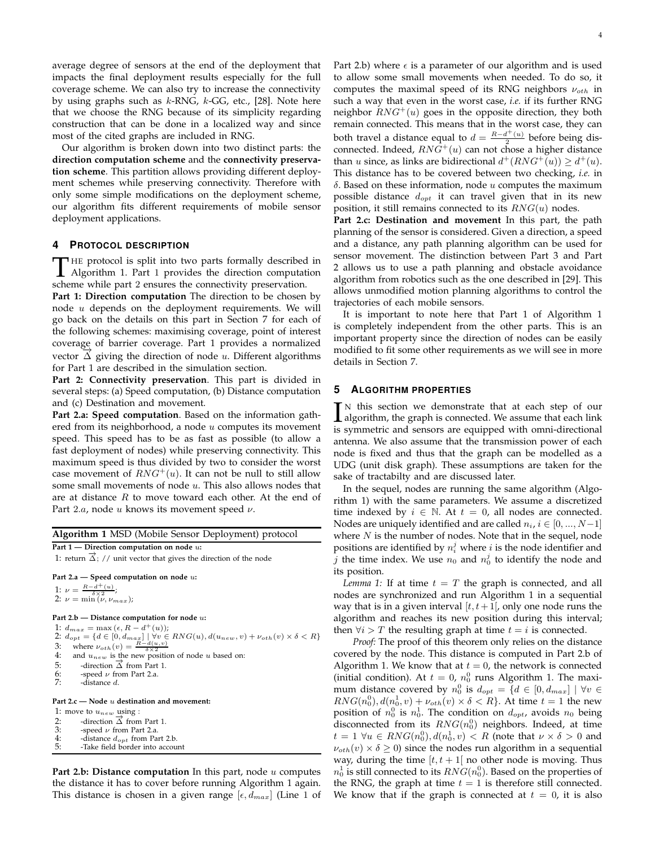average degree of sensors at the end of the deployment that impacts the final deployment results especially for the full coverage scheme. We can also try to increase the connectivity by using graphs such as  $k$ -RNG,  $k$ -GG, etc., [28]. Note here that we choose the RNG because of its simplicity regarding construction that can be done in a localized way and since most of the cited graphs are included in RNG.

Our algorithm is broken down into two distinct parts: the **direction computation scheme** and the **connectivity preservation scheme**. This partition allows providing different deployment schemes while preserving connectivity. Therefore with only some simple modifications on the deployment scheme, our algorithm fits different requirements of mobile sensor deployment applications.

#### **4 PROTOCOL DESCRIPTION**

THE protocol is split into two parts formally described in Algorithm 1. Part 1 provides the direction computation scheme while part 2 opeyres the connectivity preservation THE protocol is split into two parts formally described in scheme while part 2 ensures the connectivity preservation.

**Part 1: Direction computation** The direction to be chosen by node  $u$  depends on the deployment requirements. We will go back on the details on this part in Section 7 for each of the following schemes: maximising coverage, point of interest coverage of barrier coverage. Part 1 provides a normalized vector  $\overrightarrow{\Delta}$  giving the direction of node u. Different algorithms for Part 1 are described in the simulation section.

**Part 2: Connectivity preservation**. This part is divided in several steps: (a) Speed computation, (b) Distance computation and (c) Destination and movement.

**Part 2.a: Speed computation**. Based on the information gathered from its neighborhood, a node  $u$  computes its movement speed. This speed has to be as fast as possible (to allow a fast deployment of nodes) while preserving connectivity. This maximum speed is thus divided by two to consider the worst case movement of  $RNG^+(u)$ . It can not be null to still allow some small movements of node u. This also allows nodes that are at distance  $R$  to move toward each other. At the end of Part 2.a, node u knows its movement speed  $\nu$ .

| <b>Algorithm 1 MSD</b> (Mobile Sensor Deployment) protocol                                                                                            |
|-------------------------------------------------------------------------------------------------------------------------------------------------------|
| Part $1$ — Direction computation on node $u$ :                                                                                                        |
| 1: return $\overrightarrow{\Delta}$ ; // unit vector that gives the direction of the node                                                             |
| Part 2.a – Speed computation on node $u$ :                                                                                                            |
| 1: $\nu = \frac{R - d^+(u)}{\delta x^2};$<br>2: $\nu = \min (\nu, \nu_{max})$ ;                                                                       |
| Part 2.b — Distance computation for node $u$ :                                                                                                        |
| 1: $d_{max} = \max(\epsilon, R - d^+(u))$ ;                                                                                                           |
| 2: $d_{opt} = \{d \in [0, d_{max}] \mid \forall v \in RNG(u), d(u_{new}, v) + \nu_{oth}(v) \times \delta \leq R\}$<br>2. whore $(u, v) = R - d(u, v)$ |

3: where  $\nu_{\text{other}}(v) =$ <br>4: and  $u_{new}$  is the n 3. Where  $\nu_{\text{oth}}(v) = \frac{\delta \times 2}{\delta \times 2}$ <br>4: and  $u_{new}$  is the new position of node u based on:

5:  $\qquad$  -direction  $\overrightarrow{\Delta}$  from Part 1.<br>6: -speed  $\nu$  from Part 2.a.

- 6: -speed  $\nu$  from Part 2.a.<br>7: -distance  $d$ .
- -distance  $d$ .

**Part 2.c — Node** u **destination and movement:**

1: move to  $u_{new}$  using :

2:  $\qquad$  -direction  $\overline{\Delta}$  from Part 1.<br>3:  $\qquad$ -speed  $\nu$  from Part 2.a.

3:  $-$ speed  $\nu$  from Part 2.a.<br>4:  $-$ distance  $d_{n+1}$  from Pa

4:  $\cdot$  -distance  $d_{opt}$  from Part 2.b.<br>5: -Take field border into accou -Take field border into account

Part 2.b: Distance computation In this part, node u computes the distance it has to cover before running Algorithm 1 again. This distance is chosen in a given range  $[\epsilon, d_{max}]$  (Line 1 of Part 2.b) where  $\epsilon$  is a parameter of our algorithm and is used to allow some small movements when needed. To do so, it computes the maximal speed of its RNG neighbors  $\nu_{\text{oth}}$  in such a way that even in the worst case, *i.e.* if its further RNG neighbor  $RNG^+(u)$  goes in the opposite direction, they both remain connected. This means that in the worst case, they can both travel a distance equal to  $d = \frac{R - d^+(u)}{2}$  before being disconnected. Indeed,  $R\tilde{N}G^+(u)$  can not chose a higher distance than *u* since, as links are bidirectional  $d^+(RNG^+(u)) \ge d^+(u)$ . This distance has to be covered between two checking, *i.e.* in  $\delta$ . Based on these information, node  $u$  computes the maximum possible distance  $d_{opt}$  it can travel given that in its new position, it still remains connected to its  $RNG(u)$  nodes.

**Part 2.c: Destination and movement** In this part, the path planning of the sensor is considered. Given a direction, a speed and a distance, any path planning algorithm can be used for sensor movement. The distinction between Part 3 and Part 2 allows us to use a path planning and obstacle avoidance algorithm from robotics such as the one described in [29]. This allows unmodified motion planning algorithms to control the trajectories of each mobile sensors.

It is important to note here that Part 1 of Algorithm 1 is completely independent from the other parts. This is an important property since the direction of nodes can be easily modified to fit some other requirements as we will see in more details in Section 7.

#### **5 ALGORITHM PROPERTIES**

 $\prod$ <sup>N</sup> this section we demonstrate that at each step of our algorithm, the graph is connected. We assume that each link is cummetric and sensors are equipped with omni directional N this section we demonstrate that at each step of our is symmetric and sensors are equipped with omni-directional antenna. We also assume that the transmission power of each node is fixed and thus that the graph can be modelled as a UDG (unit disk graph). These assumptions are taken for the sake of tractabilty and are discussed later.

In the sequel, nodes are running the same algorithm (Algorithm 1) with the same parameters. We assume a discretized time indexed by  $i \in \mathbb{N}$ . At  $t = 0$ , all nodes are connected. Nodes are uniquely identified and are called  $n_i$ ,  $i \in [0, ..., N-1]$ where  $N$  is the number of nodes. Note that in the sequel, node positions are identified by  $n_i^j$  where  $i$  is the node identifier and j the time index. We use  $n_0$  and  $n_0^j$  to identify the node and its position.

*Lemma 1:* If at time  $t = T$  the graph is connected, and all nodes are synchronized and run Algorithm 1 in a sequential way that is in a given interval  $[t, t+1]$ , only one node runs the algorithm and reaches its new position during this interval; then  $\forall i > T$  the resulting graph at time  $t = i$  is connected.

*Proof:* The proof of this theorem only relies on the distance covered by the node. This distance is computed in Part 2.b of Algorithm 1. We know that at  $t = 0$ , the network is connected (initial condition). At  $t=0$ ,  $n_0^0$  runs Algorithm 1. The maximum distance covered by  $n_0^0$  is  $d_{opt} = \{d \in [0, d_{max}] \mid \forall v \in \mathbb{R} \}$  $RNG(n_0^0), d(n_0^1, v) + \nu_{\sigma th}(v) \times \delta < R$ . At time  $t = 1$  the new position of  $n_0^0$  is  $n_0^1$ . The condition on  $d_{opt}$ , avoids  $n_0$  being disconnected from its  $\mathit{RNG}(n_0^0)$  neighbors. Indeed, at time  $t = 1 \ \forall u \in RNG(n_0^0), d(n_0^1, v) < R$  (note that  $\nu \times \delta > 0$  and  $\nu_{\text{oth}}(v) \times \delta \geq 0$ ) since the nodes run algorithm in a sequential way, during the time  $[t, t + 1]$  no other node is moving. Thus  $n_0^1$  is still connected to its  $RNG(n_0^0)$ . Based on the properties of the RNG, the graph at time  $t = 1$  is therefore still connected. We know that if the graph is connected at  $t = 0$ , it is also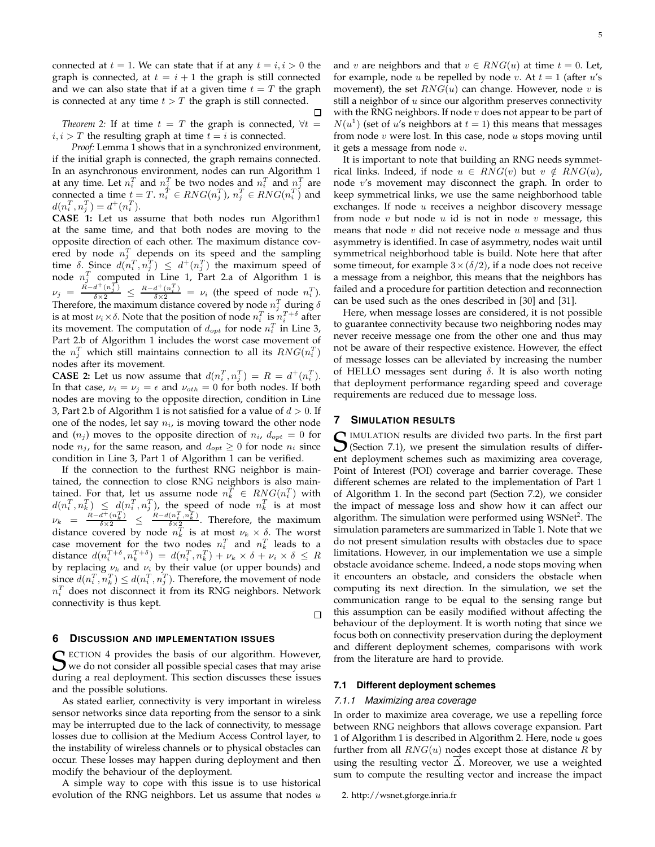connected at  $t = 1$ . We can state that if at any  $t = i, i > 0$  the graph is connected, at  $t = i + 1$  the graph is still connected and we can also state that if at a given time  $t = T$  the graph is connected at any time  $t > T$  the graph is still connected.

*Theorem 2:* If at time  $t = T$  the graph is connected,  $\forall t = T$  $i, i > T$  the resulting graph at time  $t = i$  is connected.

*Proof:* Lemma 1 shows that in a synchronized environment, if the initial graph is connected, the graph remains connected. In an asynchronous environment, nodes can run Algorithm 1 at any time. Let  $n_i^T$  and  $n_j^T$  be two nodes and  $n_i^T$  and  $n_j^T$  are connected a time  $t = T$ .  $n_i^T \in RNG(n_j^T)$ ,  $n_j^T \in RNG(n_i^T)$  and  $d(n_i^T, n_j^T) = d^+(n_i^T).$ 

**CASE 1:** Let us assume that both nodes run Algorithm1 at the same time, and that both nodes are moving to the opposite direction of each other. The maximum distance covered by node  $n_j^T$  depends on its speed and the sampling time  $\delta$ . Since  $d(n_i^T, n_j^T) \leq d^+(n_j^T)$  the maximum speed of node  $n_j^T$  computed in Line 1, Part 2.a of Algorithm 1 is  $\nu_j = \frac{\vec{R} - d^+(\vec{n}_j^T)}{\delta \times 2} \leq \frac{R - d^+(\vec{n}_i^T)}{\delta \times 2} = \nu_i$  (the speed of node  $\vec{n}_i^T$ ). Therefore, the maximum distance covered by node  $n_j^T$  during  $\delta$ is at most  $\nu_i \times \delta$ . Note that the position of node  $n_i^T$  is  $n_i^{T+\delta}$  after its movement. The computation of  $d_{opt}$  for node  $n_i^T$  in Line 3, Part 2.b of Algorithm 1 includes the worst case movement of the  $n_j^T$  which still maintains connection to all its  $RNG(n_i^T)$ nodes after its movement.

**CASE 2:** Let us now assume that  $d(n_i^T, n_j^T) = R = d^+(n_i^T)$ . In that case,  $\nu_i = \nu_j = \epsilon$  and  $\nu_{\text{oth}} = 0$  for both nodes. If both nodes are moving to the opposite direction, condition in Line 3, Part 2.b of Algorithm 1 is not satisfied for a value of  $d > 0$ . If one of the nodes, let say  $n_i$ , is moving toward the other node and  $(n_j)$  moves to the opposite direction of  $n_i$ ,  $d_{opt} = 0$  for node  $n_j$ , for the same reason, and  $d_{opt} \geq 0$  for node  $n_i$  since condition in Line 3, Part 1 of Algorithm 1 can be verified.

If the connection to the furthest RNG neighbor is maintained, the connection to close RNG neighbors is also maintained. For that, let us assume node  $n_k^{\mathcal{T}} \in \mathit{RNG}(n_i^{\mathcal{T}})$  with  $d(n_i^T, n_k^T) \leq d(n_i^T, n_j^T)$ , the speed of node  $n_k^T$  is at most  $\nu_k = \frac{R - d^+(n_k^T)}{\delta \times 2} \le \frac{R - d(n_k^T, n_k^T)}{\delta \times 2}$ . Therefore, the maximum distance covered by node  $n_k^T$  is at most  $\nu_k \times \delta$ . The worst case movement for the two nodes  $n_i^T$  and  $n_k^T$  leads to a distance  $d(n_i^{T+\delta}, n_k^{T+\delta}) = d(n_i^T, n_k^T) + \nu_k \times \delta + \nu_i \times \delta \leq R$ by replacing  $\nu_k$  and  $\nu_i$  by their value (or upper bounds) and since  $d(n_i^T, n_k^T) \leq d(n_i^T, n_j^T)$ . Therefore, the movement of node  $n_i^T$  does not disconnect it from its RNG neighbors. Network connectivity is thus kept.

 $\Box$ 

□

#### **6 DISCUSSION AND IMPLEMENTATION ISSUES**

SECTION 4 provides the basis of our algorithm. However,<br>Swe do not consider all possible special cases that may arise<br>during a real deplement. This section discusses these issues  $\sum$  we do not consider all possible special cases that may arise during a real deployment. This section discusses these issues and the possible solutions.

As stated earlier, connectivity is very important in wireless sensor networks since data reporting from the sensor to a sink may be interrupted due to the lack of connectivity, to message losses due to collision at the Medium Access Control layer, to the instability of wireless channels or to physical obstacles can occur. These losses may happen during deployment and then modify the behaviour of the deployment.

A simple way to cope with this issue is to use historical evolution of the RNG neighbors. Let us assume that nodes  $u$  and v are neighbors and that  $v \in RNG(u)$  at time  $t = 0$ . Let, for example, node u be repelled by node v. At  $t = 1$  (after u's movement), the set  $RNG(u)$  can change. However, node v is still a neighbor of  $u$  since our algorithm preserves connectivity with the RNG neighbors. If node  $v$  does not appear to be part of  $N(u^1)$  (set of u's neighbors at  $t = 1$ ) this means that messages from node  $v$  were lost. In this case, node  $u$  stops moving until it gets a message from node  $v$ .

It is important to note that building an RNG needs symmetrical links. Indeed, if node  $u \in RNG(v)$  but  $v \notin RNG(u)$ , node v's movement may disconnect the graph. In order to keep symmetrical links, we use the same neighborhood table exchanges. If node  $u$  receives a neighbor discovery message from node  $v$  but node  $u$  id is not in node  $v$  message, this means that node  $v$  did not receive node  $u$  message and thus asymmetry is identified. In case of asymmetry, nodes wait until symmetrical neighborhood table is build. Note here that after some timeout, for example  $3 \times (\delta/2)$ , if a node does not receive a message from a neighbor, this means that the neighbors has failed and a procedure for partition detection and reconnection can be used such as the ones described in [30] and [31].

Here, when message losses are considered, it is not possible to guarantee connectivity because two neighboring nodes may never receive message one from the other one and thus may not be aware of their respective existence. However, the effect of message losses can be alleviated by increasing the number of HELLO messages sent during  $δ$ . It is also worth noting that deployment performance regarding speed and coverage requirements are reduced due to message loss.

#### **7 SIMULATION RESULTS**

 $S$  IMULATION results are divided two parts. In the first part (Section 7.1), we present the simulation results of different doployment schemes such as may imizing area soverage.  $\bigcup$  (Section 7.1), we present the simulation results of different deployment schemes such as maximizing area coverage, Point of Interest (POI) coverage and barrier coverage. These different schemes are related to the implementation of Part 1 of Algorithm 1. In the second part (Section 7.2), we consider the impact of message loss and show how it can affect our algorithm. The simulation were performed using WSNet<sup>2</sup>. The simulation parameters are summarized in Table 1. Note that we do not present simulation results with obstacles due to space limitations. However, in our implementation we use a simple obstacle avoidance scheme. Indeed, a node stops moving when it encounters an obstacle, and considers the obstacle when computing its next direction. In the simulation, we set the communication range to be equal to the sensing range but this assumption can be easily modified without affecting the behaviour of the deployment. It is worth noting that since we focus both on connectivity preservation during the deployment and different deployment schemes, comparisons with work from the literature are hard to provide.

#### **7.1 Different deployment schemes**

#### *7.1.1 Maximizing area coverage*

In order to maximize area coverage, we use a repelling force between RNG neighbors that allows coverage expansion. Part 1 of Algorithm 1 is described in Algorithm 2. Here, node  $u$  goes further from all  $RNG(u)$  nodes except those at distance R by using the resulting vector  $\Delta$ . Moreover, we use a weighted sum to compute the resulting vector and increase the impact

2. http://wsnet.gforge.inria.fr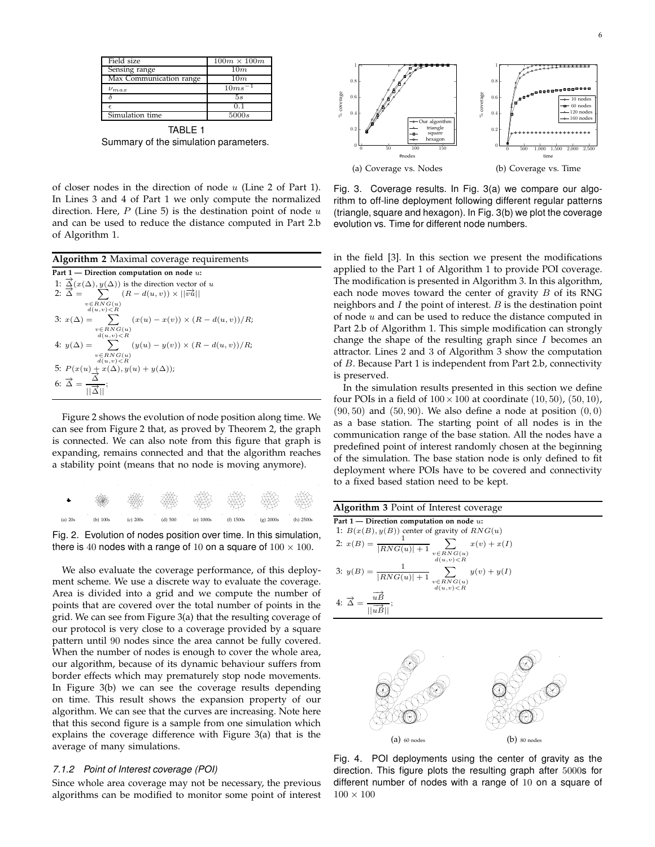| Field size              | $100m \times 100m$  |
|-------------------------|---------------------|
| Sensing range           | 10m                 |
| Max Communication range | 10m                 |
| $\nu_{max}$             | $10ms$ <sup>-</sup> |
|                         | 5s                  |
| $\epsilon$              | 0.1                 |
| Simulation time         | 5000s               |

TABLE 1 Summary of the simulation parameters.

of closer nodes in the direction of node  $u$  (Line 2 of Part 1). In Lines 3 and 4 of Part 1 we only compute the normalized direction. Here,  $P$  (Line 5) is the destination point of node  $u$ and can be used to reduce the distance computed in Part 2.b of Algorithm 1.

| <b>Algorithm 2</b> Maximal coverage requirements                                                                                                                    |  |  |
|---------------------------------------------------------------------------------------------------------------------------------------------------------------------|--|--|
| Part $1$ — Direction computation on node $u$ :                                                                                                                      |  |  |
| 1: $\overrightarrow{\Delta}(x(\Delta), y(\Delta))$ is the direction vector of u<br>2: $\overrightarrow{\Delta} = \sum (R - d(u, v)) \times   \overrightarrow{vu}  $ |  |  |
|                                                                                                                                                                     |  |  |
| $v \in RNG(u)$<br>d(u, v) < R                                                                                                                                       |  |  |
| $(x(u) - x(v)) \times (R - d(u, v))/R;$<br>$3: x(\Delta) =$                                                                                                         |  |  |
| $v \in RNG(u)$<br>d(u, v) < R                                                                                                                                       |  |  |
| 4: $y(\Delta) = \sum$<br>$(y(u) - y(v)) \times (R - d(u, v))/R;$                                                                                                    |  |  |
| $v \in RNG(u)$<br>d(u, v) < R                                                                                                                                       |  |  |
| 5: $P(x(u) + x(\Delta), y(u) + y(\Delta));$                                                                                                                         |  |  |
| 6: $\overrightarrow{\Delta} = \frac{\Delta}{\ \overrightarrow{\lambda}\ };$                                                                                         |  |  |
|                                                                                                                                                                     |  |  |

Figure 2 shows the evolution of node position along time. We can see from Figure 2 that, as proved by Theorem 2, the graph is connected. We can also note from this figure that graph is expanding, remains connected and that the algorithm reaches a stability point (means that no node is moving anymore).



Fig. 2. Evolution of nodes position over time. In this simulation, there is 40 nodes with a range of 10 on a square of  $100 \times 100$ .

We also evaluate the coverage performance, of this deployment scheme. We use a discrete way to evaluate the coverage. Area is divided into a grid and we compute the number of points that are covered over the total number of points in the grid. We can see from Figure 3(a) that the resulting coverage of our protocol is very close to a coverage provided by a square pattern until 90 nodes since the area cannot be fully covered. When the number of nodes is enough to cover the whole area, our algorithm, because of its dynamic behaviour suffers from border effects which may prematurely stop node movements. In Figure 3(b) we can see the coverage results depending on time. This result shows the expansion property of our algorithm. We can see that the curves are increasing. Note here that this second figure is a sample from one simulation which explains the coverage difference with Figure 3(a) that is the average of many simulations.

#### *7.1.2 Point of Interest coverage (POI)*

Since whole area coverage may not be necessary, the previous algorithms can be modified to monitor some point of interest



Fig. 3. Coverage results. In Fig. 3(a) we compare our algorithm to off-line deployment following different regular patterns (triangle, square and hexagon). In Fig. 3(b) we plot the coverage evolution vs. Time for different node numbers.

in the field [3]. In this section we present the modifications applied to the Part 1 of Algorithm 1 to provide POI coverage. The modification is presented in Algorithm 3. In this algorithm, each node moves toward the center of gravity  $B$  of its RNG neighbors and  $I$  the point of interest.  $B$  is the destination point of node  $u$  and can be used to reduce the distance computed in Part 2.b of Algorithm 1. This simple modification can strongly change the shape of the resulting graph since  $I$  becomes an attractor. Lines 2 and 3 of Algorithm 3 show the computation of B. Because Part 1 is independent from Part 2.b, connectivity is preserved.

In the simulation results presented in this section we define four POIs in a field of  $100 \times 100$  at coordinate  $(10, 50)$ ,  $(50, 10)$ ,  $(90, 50)$  and  $(50, 90)$ . We also define a node at position  $(0, 0)$ as a base station. The starting point of all nodes is in the communication range of the base station. All the nodes have a predefined point of interest randomly chosen at the beginning of the simulation. The base station node is only defined to fit deployment where POIs have to be covered and connectivity to a fixed based station need to be kept.

| <b>Algorithm 3</b> Point of Interest coverage                                                                                                     |
|---------------------------------------------------------------------------------------------------------------------------------------------------|
| Part $1$ — Direction computation on node $u$ :                                                                                                    |
|                                                                                                                                                   |
| 1: $B(x(B), y(B))$ center of gravity of $RNG(u)$<br>2: $x(B) = \frac{1}{ RNG(u)  + 1} \sum_{\substack{v \in RNG(u) \\ d(u,v) \le R}} x(v) + x(I)$ |
| d(u, v) < R                                                                                                                                       |
| 3: $y(B) = \frac{1}{ RNG(u)  + 1} \sum_{v \in RN(G(u))} y(v) + y(I)$                                                                              |
| d(u, v) < R<br>4: $\overrightarrow{\Delta} = \frac{\overrightarrow{uB}}{  \overrightarrow{uB}  }$ ;                                               |
|                                                                                                                                                   |
|                                                                                                                                                   |



Fig. 4. POI deployments using the center of gravity as the direction. This figure plots the resulting graph after 5000s for different number of nodes with a range of 10 on a square of  $100 \times 100$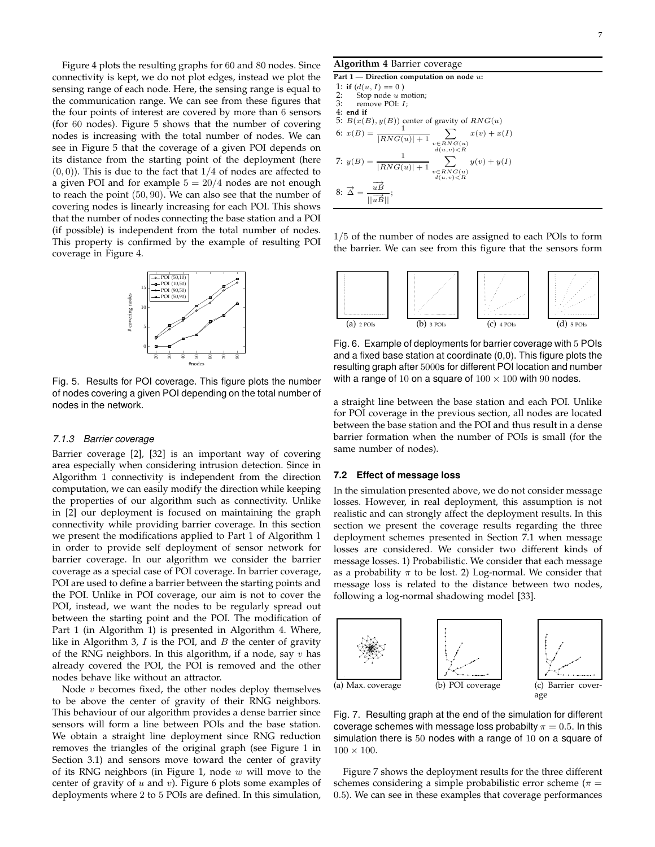Figure 4 plots the resulting graphs for 60 and 80 nodes. Since connectivity is kept, we do not plot edges, instead we plot the sensing range of each node. Here, the sensing range is equal to the communication range. We can see from these figures that the four points of interest are covered by more than 6 sensors (for 60 nodes). Figure 5 shows that the number of covering nodes is increasing with the total number of nodes. We can see in Figure 5 that the coverage of a given POI depends on its distance from the starting point of the deployment (here  $(0, 0)$ ). This is due to the fact that  $1/4$  of nodes are affected to a given POI and for example  $5 = 20/4$  nodes are not enough to reach the point (50, 90). We can also see that the number of covering nodes is linearly increasing for each POI. This shows that the number of nodes connecting the base station and a POI (if possible) is independent from the total number of nodes. This property is confirmed by the example of resulting POI coverage in Figure 4.



Fig. 5. Results for POI coverage. This figure plots the number of nodes covering a given POI depending on the total number of nodes in the network.

#### *7.1.3 Barrier coverage*

Barrier coverage [2], [32] is an important way of covering area especially when considering intrusion detection. Since in Algorithm 1 connectivity is independent from the direction computation, we can easily modify the direction while keeping the properties of our algorithm such as connectivity. Unlike in [2] our deployment is focused on maintaining the graph connectivity while providing barrier coverage. In this section we present the modifications applied to Part 1 of Algorithm 1 in order to provide self deployment of sensor network for barrier coverage. In our algorithm we consider the barrier coverage as a special case of POI coverage. In barrier coverage, POI are used to define a barrier between the starting points and the POI. Unlike in POI coverage, our aim is not to cover the POI, instead, we want the nodes to be regularly spread out between the starting point and the POI. The modification of Part 1 (in Algorithm 1) is presented in Algorithm 4. Where, like in Algorithm 3,  $I$  is the POI, and  $B$  the center of gravity of the RNG neighbors. In this algorithm, if a node, say  $v$  has already covered the POI, the POI is removed and the other nodes behave like without an attractor.

Node  $v$  becomes fixed, the other nodes deploy themselves to be above the center of gravity of their RNG neighbors. This behaviour of our algorithm provides a dense barrier since sensors will form a line between POIs and the base station. We obtain a straight line deployment since RNG reduction removes the triangles of the original graph (see Figure 1 in Section 3.1) and sensors move toward the center of gravity of its RNG neighbors (in Figure 1, node  $w$  will move to the center of gravity of  $u$  and  $v$ ). Figure 6 plots some examples of deployments where 2 to 5 POIs are defined. In this simulation,

#### **Algorithm 4** Barrier coverage

**Part 1 — Direction computation on node** u**:** 1: **if**  $(d(u, I) == 0)$ <br>2: Stop node u n 2: Stop node  $u$  motion;<br>3: remove POI:  $I$ ; remove POI: I; 4: **end if** 5:  $B(x(B), y(B))$  center of gravity of  $RNG(u)$ <br>6:  $x(B) = \frac{1}{12NG(u+1)}$  $|RNG(u)| + 1 \sum_{v \in RNG(u)}$  $\sum$  $d(u,v) < R$  $x(v) + x(I)$ 7:  $y(B) = \frac{1}{|RNG(u)| + 1} \sum_{x \in PMC}$  $v \in RNG(u)$  $d(u,v) < R$  $y(v) + y(I)$  $8: \overrightarrow{\Delta} =$  $u\dot{B}$  $||u\vec{B}||$ ;

1/5 of the number of nodes are assigned to each POIs to form the barrier. We can see from this figure that the sensors form



Fig. 6. Example of deployments for barrier coverage with 5 POIs and a fixed base station at coordinate (0,0). This figure plots the resulting graph after 5000s for different POI location and number with a range of 10 on a square of  $100 \times 100$  with 90 nodes.

a straight line between the base station and each POI. Unlike for POI coverage in the previous section, all nodes are located between the base station and the POI and thus result in a dense barrier formation when the number of POIs is small (for the same number of nodes).

#### **7.2 Effect of message loss**

In the simulation presented above, we do not consider message losses. However, in real deployment, this assumption is not realistic and can strongly affect the deployment results. In this section we present the coverage results regarding the three deployment schemes presented in Section 7.1 when message losses are considered. We consider two different kinds of message losses. 1) Probabilistic. We consider that each message as a probability  $\pi$  to be lost. 2) Log-normal. We consider that message loss is related to the distance between two nodes, following a log-normal shadowing model [33].



Fig. 7. Resulting graph at the end of the simulation for different coverage schemes with message loss probabilty  $\pi = 0.5$ . In this simulation there is 50 nodes with a range of 10 on a square of  $100 \times 100$ .

Figure 7 shows the deployment results for the three different schemes considering a simple probabilistic error scheme ( $\pi$  = 0.5). We can see in these examples that coverage performances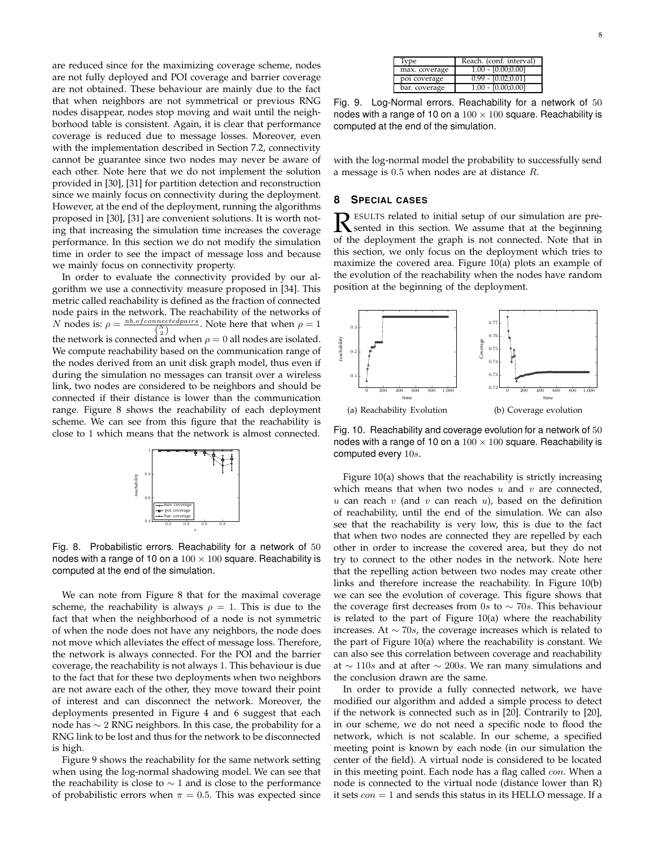are reduced since for the maximizing coverage scheme, nodes are not fully deployed and POI coverage and barrier coverage are not obtained. These behaviour are mainly due to the fact that when neighbors are not symmetrical or previous RNG nodes disappear, nodes stop moving and wait until the neighborhood table is consistent. Again, it is clear that performance coverage is reduced due to message losses. Moreover, even with the implementation described in Section 7.2, connectivity cannot be guarantee since two nodes may never be aware of each other. Note here that we do not implement the solution provided in [30], [31] for partition detection and reconstruction since we mainly focus on connectivity during the deployment. However, at the end of the deployment, running the algorithms proposed in [30], [31] are convenient solutions. It is worth noting that increasing the simulation time increases the coverage performance. In this section we do not modify the simulation time in order to see the impact of message loss and because we mainly focus on connectivity property.

In order to evaluate the connectivity provided by our algorithm we use a connectivity measure proposed in [34]. This metric called reachability is defined as the fraction of connected node pairs in the network. The reachability of the networks of *N* nodes is:  $\rho = \frac{nb. of connected pairs}{\binom{N}{2}}$ . Note here that when  $\rho = 1$ the network is connected and when  $\rho = 0$  all nodes are isolated. We compute reachability based on the communication range of the nodes derived from an unit disk graph model, thus even if during the simulation no messages can transit over a wireless link, two nodes are considered to be neighbors and should be connected if their distance is lower than the communication range. Figure 8 shows the reachability of each deployment scheme. We can see from this figure that the reachability is close to 1 which means that the network is almost connected.



Fig. 8. Probabilistic errors. Reachability for a network of 50 nodes with a range of 10 on a  $100 \times 100$  square. Reachability is computed at the end of the simulation.

We can note from Figure 8 that for the maximal coverage scheme, the reachability is always  $\rho = 1$ . This is due to the fact that when the neighborhood of a node is not symmetric of when the node does not have any neighbors, the node does not move which alleviates the effect of message loss. Therefore, the network is always connected. For the POI and the barrier coverage, the reachability is not always 1. This behaviour is due to the fact that for these two deployments when two neighbors are not aware each of the other, they move toward their point of interest and can disconnect the network. Moreover, the deployments presented in Figure 4 and 6 suggest that each node has  $\sim$  2 RNG neighbors. In this case, the probability for a RNG link to be lost and thus for the network to be disconnected is high.

Figure 9 shows the reachability for the same network setting when using the log-normal shadowing model. We can see that the reachability is close to  $\sim$  1 and is close to the performance of probabilistic errors when  $\pi = 0.5$ . This was expected since

| Type          | Reach. (conf. interval) |
|---------------|-------------------------|
| max. coverage | $1.00 - [0.00; 0.00]$   |
| poi coverage  | $0.99 - [0.02; 0.01]$   |
| bar. coverage | $1.00 - [0.00; 0.00]$   |

Fig. 9. Log-Normal errors. Reachability for a network of 50 nodes with a range of 10 on a  $100 \times 100$  square. Reachability is computed at the end of the simulation.

with the log-normal model the probability to successfully send a message is 0.5 when nodes are at distance R.

#### **8 SPECIAL CASES**

R ESULTS related to initial setup of our simulation are pre-<br>sented in this section. We assume that at the beginning<br>of the deplement the graph is not connected. Note that in ESULTS related to initial setup of our simulation are preof the deployment the graph is not connected. Note that in this section, we only focus on the deployment which tries to maximize the covered area. Figure 10(a) plots an example of the evolution of the reachability when the nodes have random position at the beginning of the deployment.



Fig. 10. Reachability and coverage evolution for a network of 50 nodes with a range of 10 on a  $100 \times 100$  square. Reachability is computed every  $10s$ .

Figure 10(a) shows that the reachability is strictly increasing which means that when two nodes  $u$  and  $v$  are connected,  $u$  can reach  $v$  (and  $v$  can reach  $u$ ), based on the definition of reachability, until the end of the simulation. We can also see that the reachability is very low, this is due to the fact that when two nodes are connected they are repelled by each other in order to increase the covered area, but they do not try to connect to the other nodes in the network. Note here that the repelling action between two nodes may create other links and therefore increase the reachability. In Figure 10(b) we can see the evolution of coverage. This figure shows that the coverage first decreases from 0s to  $\sim$  70s. This behaviour is related to the part of Figure 10(a) where the reachability increases. At ∼ 70s, the coverage increases which is related to the part of Figure 10(a) where the reachability is constant. We can also see this correlation between coverage and reachability at  $\sim$  110s and at after  $\sim$  200s. We ran many simulations and the conclusion drawn are the same.

In order to provide a fully connected network, we have modified our algorithm and added a simple process to detect if the network is connected such as in [20]. Contrarily to [20], in our scheme, we do not need a specific node to flood the network, which is not scalable. In our scheme, a specified meeting point is known by each node (in our simulation the center of the field). A virtual node is considered to be located in this meeting point. Each node has a flag called con. When a node is connected to the virtual node (distance lower than R) it sets  $con = 1$  and sends this status in its HELLO message. If a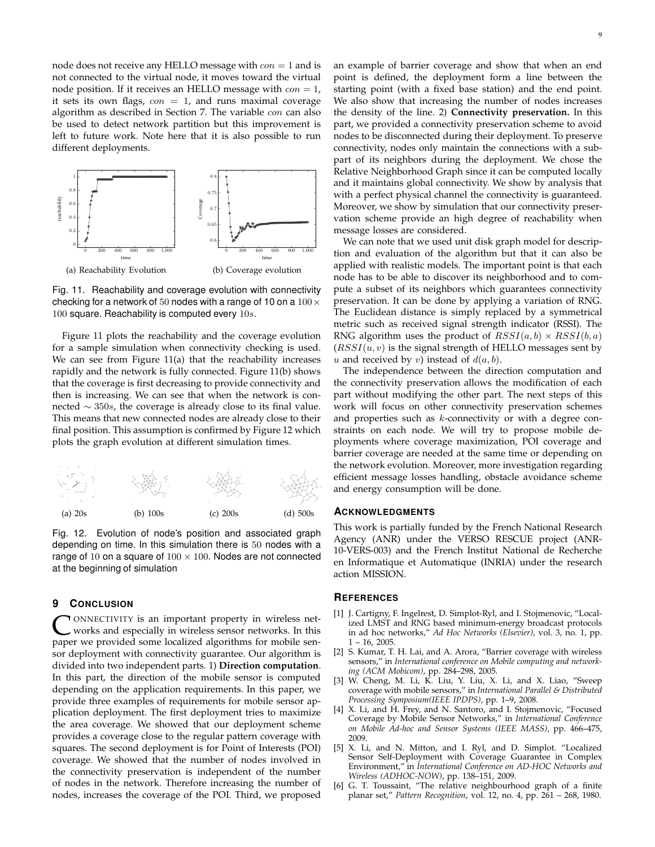node does not receive any HELLO message with  $con = 1$  and is not connected to the virtual node, it moves toward the virtual node position. If it receives an HELLO message with  $con = 1$ , it sets its own flags,  $con = 1$ , and runs maximal coverage algorithm as described in Section 7. The variable con can also be used to detect network partition but this improvement is left to future work. Note here that it is also possible to run different deployments.



Fig. 11. Reachability and coverage evolution with connectivity checking for a network of 50 nodes with a range of 10 on a  $100 \times$ 100 square. Reachability is computed every 10s.

Figure 11 plots the reachability and the coverage evolution for a sample simulation when connectivity checking is used. We can see from Figure 11(a) that the reachability increases rapidly and the network is fully connected. Figure 11(b) shows that the coverage is first decreasing to provide connectivity and then is increasing. We can see that when the network is connected  $\sim$  350s, the coverage is already close to its final value. This means that new connected nodes are already close to their final position. This assumption is confirmed by Figure 12 which plots the graph evolution at different simulation times.



Fig. 12. Evolution of node's position and associated graph depending on time. In this simulation there is 50 nodes with a range of 10 on a square of  $100 \times 100$ . Nodes are not connected at the beginning of simulation

#### **9 CONCLUSION**

C ONNECTIVITY is an important property in wireless net-<br>works and especially in wireless sensor networks. In this<br>paper we provided some localized algorithms for mobile sen-ONNECTIVITY is an important property in wireless networks and especially in wireless sensor networks. In this sor deployment with connectivity guarantee. Our algorithm is divided into two independent parts. 1) **Direction computation**. In this part, the direction of the mobile sensor is computed depending on the application requirements. In this paper, we provide three examples of requirements for mobile sensor application deployment. The first deployment tries to maximize the area coverage. We showed that our deployment scheme provides a coverage close to the regular pattern coverage with squares. The second deployment is for Point of Interests (POI) coverage. We showed that the number of nodes involved in the connectivity preservation is independent of the number of nodes in the network. Therefore increasing the number of nodes, increases the coverage of the POI. Third, we proposed

an example of barrier coverage and show that when an end point is defined, the deployment form a line between the starting point (with a fixed base station) and the end point. We also show that increasing the number of nodes increases the density of the line. 2) **Connectivity preservation.** In this part, we provided a connectivity preservation scheme to avoid nodes to be disconnected during their deployment. To preserve connectivity, nodes only maintain the connections with a subpart of its neighbors during the deployment. We chose the Relative Neighborhood Graph since it can be computed locally and it maintains global connectivity. We show by analysis that with a perfect physical channel the connectivity is guaranteed. Moreover, we show by simulation that our connectivity preservation scheme provide an high degree of reachability when message losses are considered.

We can note that we used unit disk graph model for description and evaluation of the algorithm but that it can also be applied with realistic models. The important point is that each node has to be able to discover its neighborhood and to compute a subset of its neighbors which guarantees connectivity preservation. It can be done by applying a variation of RNG. The Euclidean distance is simply replaced by a symmetrical metric such as received signal strength indicator (RSSI). The RNG algorithm uses the product of  $RSSI(a, b) \times RSSI(b, a)$  $(RSSI(u, v)$  is the signal strength of HELLO messages sent by u and received by v) instead of  $d(a, b)$ .

The independence between the direction computation and the connectivity preservation allows the modification of each part without modifying the other part. The next steps of this work will focus on other connectivity preservation schemes and properties such as  $k$ -connectivity or with a degree constraints on each node. We will try to propose mobile deployments where coverage maximization, POI coverage and barrier coverage are needed at the same time or depending on the network evolution. Moreover, more investigation regarding efficient message losses handling, obstacle avoidance scheme and energy consumption will be done.

#### **ACKNOWLEDGMENTS**

This work is partially funded by the French National Research Agency (ANR) under the VERSO RESCUE project (ANR-10-VERS-003) and the French Institut National de Recherche en Informatique et Automatique (INRIA) under the research action MISSION.

#### **REFERENCES**

- [1] J. Cartigny, F. Ingelrest, D. Simplot-Ryl, and I. Stojmenovic, "Localized LMST and RNG based minimum-energy broadcast protocols in ad hoc networks," *Ad Hoc Networks (Elsevier)*, vol. 3, no. 1, pp.  $1 - 16$ , 2005.
- [2] S. Kumar, T. H. Lai, and A. Arora, "Barrier coverage with wireless sensors," in *International conference on Mobile computing and networking (ACM Mobicom)*, pp. 284–298, 2005.
- [3] W. Cheng, M. Li, K. Liu, Y. Liu, X. Li, and X. Liao, "Sweep coverage with mobile sensors," in *International Parallel & Distributed Processing Symposium(IEEE IPDPS)*, pp. 1–9, 2008.
- [4] X. Li, and H. Frey, and N. Santoro, and I. Stojmenovic, "Focused Coverage by Mobile Sensor Networks," in *International Conference on Mobile Ad-hoc and Sensor Systems (IEEE MASS)*, pp. 466–475, 2009.
- [5] X. Li, and N. Mitton, and I. Ryl, and D. Simplot. "Localized Sensor Self-Deployment with Coverage Guarantee in Complex Environment," in *International Conference on AD-HOC Networks and Wireless (ADHOC-NOW)*, pp. 138–151, 2009.
- [6] G. T. Toussaint, "The relative neighbourhood graph of a finite planar set," *Pattern Recognition*, vol. 12, no. 4, pp. 261 – 268, 1980.